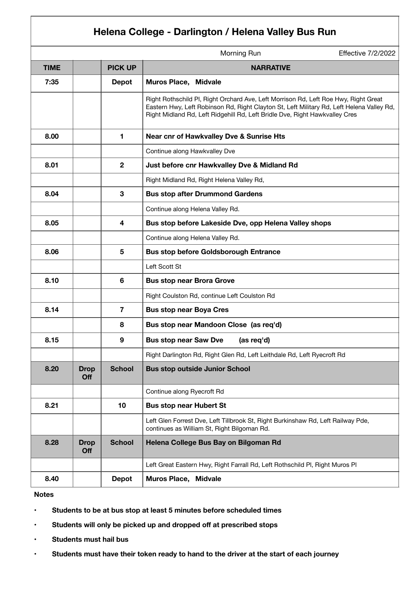## **Helena College - Darlington / Helena Valley Bus Run**

|             |                    |                | Morning Run                                                                                                                                                                                                                                                     | <b>Effective 7/2/2022</b> |
|-------------|--------------------|----------------|-----------------------------------------------------------------------------------------------------------------------------------------------------------------------------------------------------------------------------------------------------------------|---------------------------|
| <b>TIME</b> |                    | <b>PICK UP</b> | <b>NARRATIVE</b>                                                                                                                                                                                                                                                |                           |
| 7:35        |                    | <b>Depot</b>   | <b>Muros Place, Midvale</b>                                                                                                                                                                                                                                     |                           |
|             |                    |                | Right Rothschild Pl, Right Orchard Ave, Left Morrison Rd, Left Roe Hwy, Right Great<br>Eastern Hwy, Left Robinson Rd, Right Clayton St, Left Military Rd, Left Helena Valley Rd,<br>Right Midland Rd, Left Ridgehill Rd, Left Bridle Dve, Right Hawkvalley Cres |                           |
| 8.00        |                    | 1.             | Near cnr of Hawkvalley Dve & Sunrise Hts                                                                                                                                                                                                                        |                           |
|             |                    |                | Continue along Hawkvalley Dve                                                                                                                                                                                                                                   |                           |
| 8.01        |                    | $\overline{2}$ | Just before cnr Hawkvalley Dve & Midland Rd                                                                                                                                                                                                                     |                           |
|             |                    |                | Right Midland Rd, Right Helena Valley Rd,                                                                                                                                                                                                                       |                           |
| 8.04        |                    | 3              | <b>Bus stop after Drummond Gardens</b>                                                                                                                                                                                                                          |                           |
|             |                    |                | Continue along Helena Valley Rd.                                                                                                                                                                                                                                |                           |
| 8.05        |                    | 4              | Bus stop before Lakeside Dve, opp Helena Valley shops                                                                                                                                                                                                           |                           |
|             |                    |                | Continue along Helena Valley Rd.                                                                                                                                                                                                                                |                           |
| 8.06        |                    | 5              | <b>Bus stop before Goldsborough Entrance</b>                                                                                                                                                                                                                    |                           |
|             |                    |                | Left Scott St                                                                                                                                                                                                                                                   |                           |
| 8.10        |                    | 6              | <b>Bus stop near Brora Grove</b>                                                                                                                                                                                                                                |                           |
|             |                    |                | Right Coulston Rd, continue Left Coulston Rd                                                                                                                                                                                                                    |                           |
| 8.14        |                    | $\overline{7}$ | <b>Bus stop near Boya Cres</b>                                                                                                                                                                                                                                  |                           |
|             |                    | 8              | Bus stop near Mandoon Close (as req'd)                                                                                                                                                                                                                          |                           |
| 8.15        |                    | 9              | <b>Bus stop near Saw Dve</b><br>(as req'd)                                                                                                                                                                                                                      |                           |
|             |                    |                | Right Darlington Rd, Right Glen Rd, Left Leithdale Rd, Left Ryecroft Rd                                                                                                                                                                                         |                           |
| 8.20        | <b>Drop</b><br>Off | <b>School</b>  | <b>Bus stop outside Junior School</b>                                                                                                                                                                                                                           |                           |
|             |                    |                | Continue along Ryecroft Rd                                                                                                                                                                                                                                      |                           |
| 8.21        |                    | 10             | <b>Bus stop near Hubert St</b>                                                                                                                                                                                                                                  |                           |
|             |                    |                | Left Glen Forrest Dve, Left Tillbrook St, Right Burkinshaw Rd, Left Railway Pde,<br>continues as William St, Right Bilgoman Rd.                                                                                                                                 |                           |
| 8.28        | <b>Drop</b><br>Off | <b>School</b>  | Helena College Bus Bay on Bilgoman Rd                                                                                                                                                                                                                           |                           |
|             |                    |                | Left Great Eastern Hwy, Right Farrall Rd, Left Rothschild Pl, Right Muros Pl                                                                                                                                                                                    |                           |
| 8.40        |                    | <b>Depot</b>   | <b>Muros Place, Midvale</b>                                                                                                                                                                                                                                     |                           |

## **Notes**

- **Students to be at bus stop at least 5 minutes before scheduled times**
- **Students will only be picked up and dropped off at prescribed stops**
- **Students must hail bus**
- **Students must have their token ready to hand to the driver at the start of each journey**